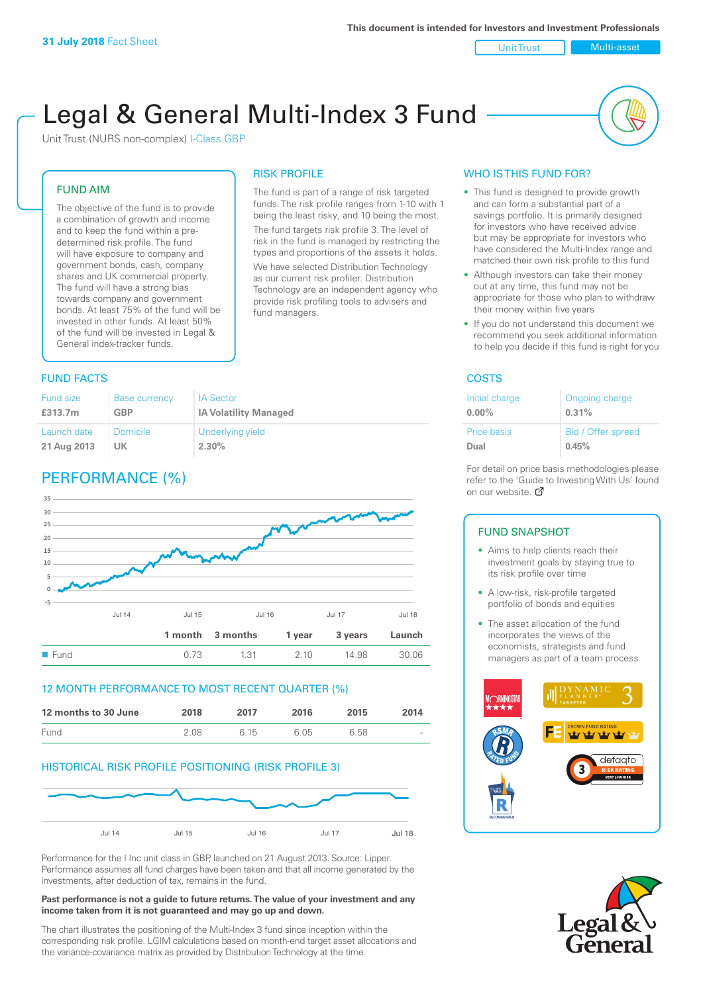Unit Trust Nulti-asset

# Legal & General Multi-Index 3 Fund

RISK PROFILE

fund managers.

The fund is part of a range of risk targeted funds. The risk profile ranges from 1-10 with 1 being the least risky, and 10 being the most. The fund targets risk profile 3. The level of risk in the fund is managed by restricting the types and proportions of the assets it holds. We have selected Distribution Technology as our current risk profiler. Distribution Technology are an independent agency who provide risk profiling tools to advisers and

Unit Trust (NURS non-complex) I-Class GBP

#### FUND AIM

The objective of the fund is to provide a combination of growth and income and to keep the fund within a predetermined risk profile. The fund will have exposure to company and government bonds, cash, company shares and UK commercial property. The fund will have a strong bias towards company and government bonds. At least 75% of the fund will be invested in other funds. At least 50% of the fund will be invested in Legal & General index-tracker funds.

#### **FUND FACTS** COSTS

| Fund size   | <b>Base currency</b> | <b>IA Sector</b>             |
|-------------|----------------------|------------------------------|
| £313.7m     | <b>GBP</b>           | <b>IA Volatility Managed</b> |
| Launch date | Domicile             | Underlying yield             |
| 21 Aug 2013 | UK                   | 2.30%                        |

# PERFORMANCE (%)



#### 12 MONTH PERFORMANCE TO MOST RECENT QUARTER (%)

| 12 months to 30 June | 2018 | 2017 | 2016 | 2015 | 2014   |
|----------------------|------|------|------|------|--------|
| Fund                 | 2.08 | 6 15 | 6.05 | 6.58 | $\sim$ |

#### HISTORICAL RISK PROFILE POSITIONING (RISK PROFILE 3)



Performance for the I Inc unit class in GBP, launched on 21 August 2013. Source: Lipper. Performance assumes all fund charges have been taken and that all income generated by the investments, after deduction of tax, remains in the fund.

#### **Past performance is not a guide to future returns. The value of your investment and any income taken from it is not guaranteed and may go up and down.**

The chart illustrates the positioning of the Multi-Index 3 fund since inception within the corresponding risk profile. LGIM calculations based on month-end target asset allocations and the variance-covariance matrix as provided by Distribution Technology at the time.

## WHO IS THIS FUND FOR?

- This fund is designed to provide growth and can form a substantial part of a savings portfolio. It is primarily designed for investors who have received advice but may be appropriate for investors who have considered the Multi-Index range and matched their own risk profile to this fund
- Although investors can take their money out at any time, this fund may not be appropriate for those who plan to withdraw their money within five years
- If you do not understand this document we recommend you seek additional information to help you decide if this fund is right for you

| Initial charge     | Ongoing charge     |
|--------------------|--------------------|
| $0.00\%$           | 0.31%              |
| <b>Price basis</b> | Bid / Offer spread |
| Dual               | 0.45%              |

For detail on price basis methodologies please refer to the 'Gu[ide t](http://www.legalandgeneral.com/guide)o Investing With Us' found on our website. *P* 

#### FUND SNAPSHOT

- Aims to help clients reach their investment goals by staying true to its risk profile over time
- A low-risk, risk-profile targeted portfolio of bonds and equities
- The asset allocation of the fund incorporates the views of the economists, strategists and fund managers as part of a team process



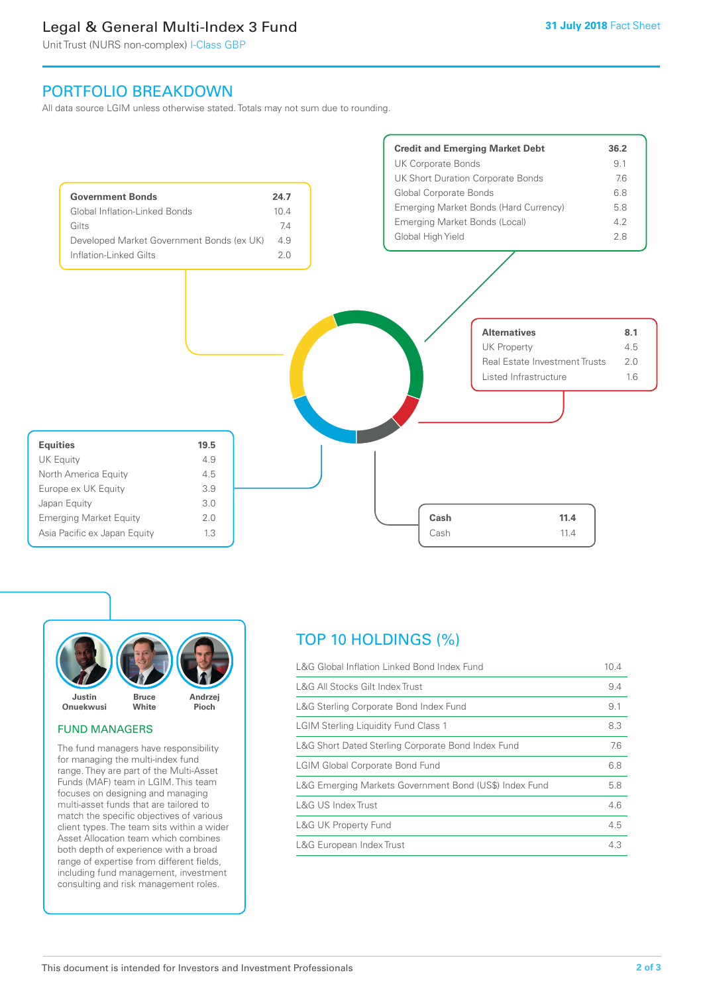# Legal & General Multi-Index 3 Fund

Unit Trust (NURS non-complex) I-Class GBP

# PORTFOLIO BREAKDOWN

All data source LGIM unless otherwise stated. Totals may not sum due to rounding.





#### FUND MANAGERS

The fund managers have responsibility for managing the multi-index fund range. They are part of the Multi-Asset Funds (MAF) team in LGIM. This team focuses on designing and managing multi-asset funds that are tailored to match the specific objectives of various client types. The team sits within a wider Asset Allocation team which combines both depth of experience with a broad range of expertise from different fields, including fund management, investment consulting and risk management roles.

# TOP 10 HOLDINGS (%)

| L&G Global Inflation Linked Bond Index Fund            | 10.4 |
|--------------------------------------------------------|------|
| L&G All Stocks Gilt Index Trust                        | 9.4  |
| L&G Sterling Corporate Bond Index Fund                 | 9.1  |
| <b>LGIM Sterling Liquidity Fund Class 1</b>            | 8.3  |
| L&G Short Dated Sterling Corporate Bond Index Fund     | 7.6  |
| <b>LGIM Global Corporate Bond Fund</b>                 | 6.8  |
| L&G Emerging Markets Government Bond (US\$) Index Fund | 5.8  |
| L&G US Index Trust                                     | 4.6  |
| <b>L&amp;G UK Property Fund</b>                        | 4.5  |
| L&G European Index Trust                               | 4.3  |